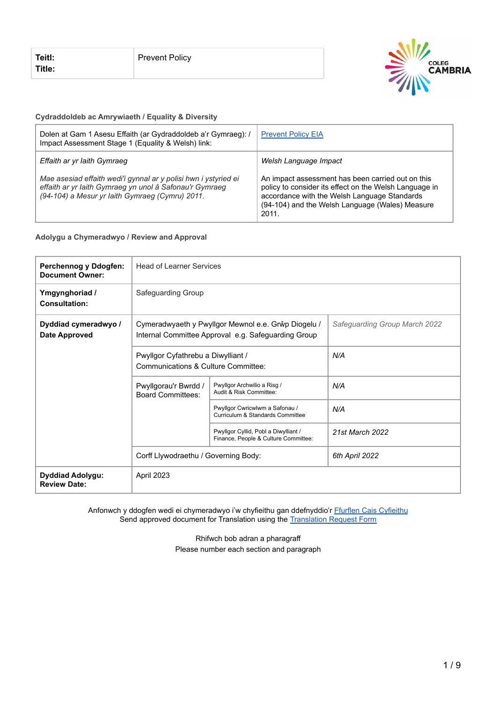

#### **Cydraddoldeb ac Amrywiaeth / Equality & Diversity**

| Dolen at Gam 1 Asesu Effaith (ar Gydraddoldeb a'r Gymraeg): /<br>Impact Assessment Stage 1 (Equality & Welsh) link:                                                           | <b>Prevent Policy EIA</b>                                                                                                                                                                                               |
|-------------------------------------------------------------------------------------------------------------------------------------------------------------------------------|-------------------------------------------------------------------------------------------------------------------------------------------------------------------------------------------------------------------------|
| Effaith ar yr Iaith Gymraeg                                                                                                                                                   | Welsh Language Impact                                                                                                                                                                                                   |
| Mae asesiad effaith wedi'i gynnal ar y polisi hwn i ystyried ei<br>effaith ar yr laith Gymraeg yn unol â Safonau'r Gymraeg<br>(94-104) a Mesur yr Iaith Gymraeg (Cymru) 2011. | An impact assessment has been carried out on this<br>policy to consider its effect on the Welsh Language in<br>accordance with the Welsh Language Standards<br>(94-104) and the Welsh Language (Wales) Measure<br>2011. |

**Adolygu a Chymeradwyo / Review and Approval**

| <b>Perchennog y Ddogfen:</b><br><b>Document Owner:</b> | <b>Head of Learner Services</b>                                                                                                                                                         |                                                                              |                               |
|--------------------------------------------------------|-----------------------------------------------------------------------------------------------------------------------------------------------------------------------------------------|------------------------------------------------------------------------------|-------------------------------|
| Ymgynghoriad /<br><b>Consultation:</b>                 | Safeguarding Group                                                                                                                                                                      |                                                                              |                               |
| Dyddiad cymeradwyo /<br><b>Date Approved</b>           | Cymeradwyaeth y Pwyllgor Mewnol e.e. Grŵp Diogelu /<br>Internal Committee Approval e.g. Safeguarding Group<br>Pwyllgor Cyfathrebu a Diwylliant /<br>Communications & Culture Committee: |                                                                              | Safeguarding Group March 2022 |
|                                                        |                                                                                                                                                                                         |                                                                              | N/A                           |
|                                                        | Pwyllgorau'r Bwrdd /<br><b>Board Committees:</b>                                                                                                                                        | Pwyllgor Archwilio a Risg /<br>Audit & Risk Committee:                       | N/A                           |
|                                                        |                                                                                                                                                                                         | Pwyllgor Cwricwlwm a Safonau /<br>Curriculum & Standards Committee           | N/A                           |
|                                                        |                                                                                                                                                                                         | Pwyllgor Cyllid, Pobl a Diwylliant /<br>Finance, People & Culture Committee: | 21st March 2022               |
|                                                        | Corff Llywodraethu / Governing Body:                                                                                                                                                    |                                                                              | 6th April 2022                |
| Dyddiad Adolygu:<br><b>Review Date:</b>                | April 2023                                                                                                                                                                              |                                                                              |                               |

Anfonwch y ddogfen wedi ei chymeradwyo i'w chyfieithu gan ddefnyddio'r <u>[Ffurflen Cais Cyfieithu](https://staff.cambria.ac.uk/translation-request-form/)</u> Send approved document for Translation using the Translation [Request Form](https://staff.cambria.ac.uk/translation-request-form/)

> Rhifwch bob adran a pharagraff Please number each section and paragraph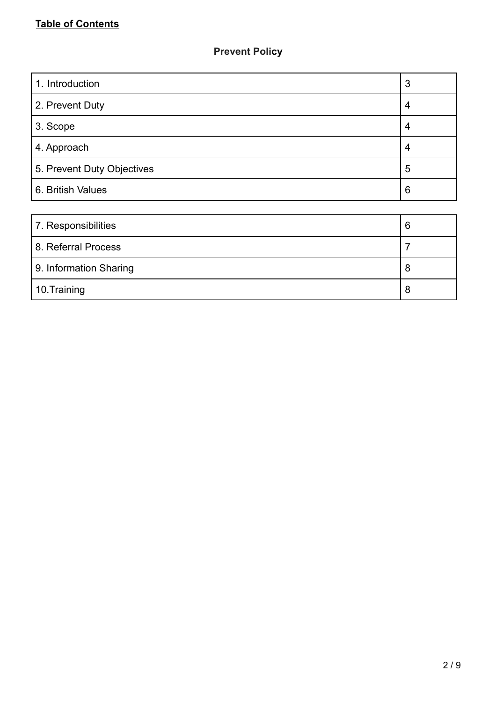# **Prevent Policy**

| 1. Introduction            | 3              |
|----------------------------|----------------|
| 2. Prevent Duty            | $\overline{4}$ |
| 3. Scope                   | 4              |
| 4. Approach                | 4              |
| 5. Prevent Duty Objectives | 5              |
| 6. British Values          | 6              |
|                            |                |
| 7. Responsibilities        | 6              |
| 8. Referral Process        | 7              |
| 9. Information Sharing     | 8              |

10.Training 8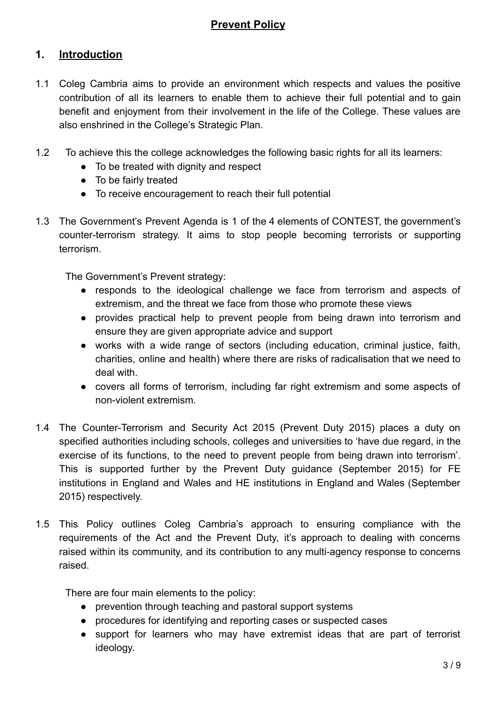# **Prevent Policy**

# **1. Introduction**

- 1.1 Coleg Cambria aims to provide an environment which respects and values the positive contribution of all its learners to enable them to achieve their full potential and to gain benefit and enjoyment from their involvement in the life of the College. These values are also enshrined in the College's Strategic Plan.
- 1.2 To achieve this the college acknowledges the following basic rights for all its learners:
	- To be treated with dignity and respect
	- To be fairly treated
	- To receive encouragement to reach their full potential
- 1.3 The Government's Prevent Agenda is 1 of the 4 elements of CONTEST, the government's counter-terrorism strategy. It aims to stop people becoming terrorists or supporting terrorism.

The Government's Prevent strategy:

- responds to the ideological challenge we face from terrorism and aspects of extremism, and the threat we face from those who promote these views
- provides practical help to prevent people from being drawn into terrorism and ensure they are given appropriate advice and support
- works with a wide range of sectors (including education, criminal justice, faith, charities, online and health) where there are risks of radicalisation that we need to deal with.
- covers all forms of terrorism, including far right extremism and some aspects of non-violent extremism.
- 1.4 The Counter-Terrorism and Security Act 2015 (Prevent Duty 2015) places a duty on specified authorities including schools, colleges and universities to 'have due regard, in the exercise of its functions, to the need to prevent people from being drawn into terrorism'. This is supported further by the Prevent Duty guidance (September 2015) for FE institutions in England and Wales and HE institutions in England and Wales (September 2015) respectively.
- 1.5 This Policy outlines Coleg Cambria's approach to ensuring compliance with the requirements of the Act and the Prevent Duty, it's approach to dealing with concerns raised within its community, and its contribution to any multi-agency response to concerns raised.

There are four main elements to the policy:

- prevention through teaching and pastoral support systems
- procedures for identifying and reporting cases or suspected cases
- support for learners who may have extremist ideas that are part of terrorist ideology.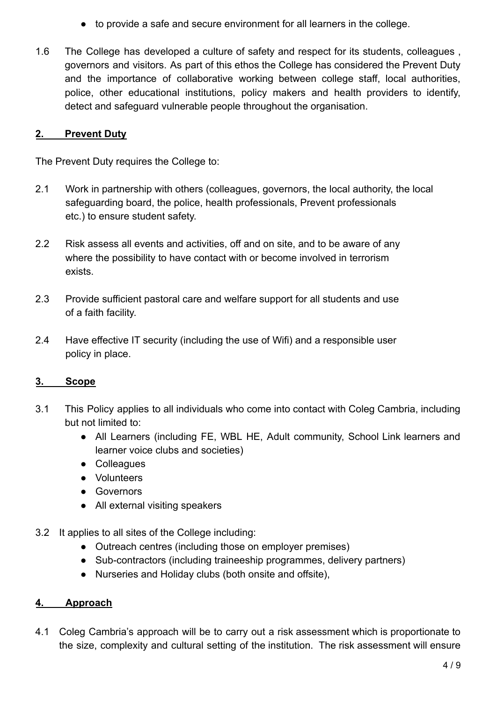- to provide a safe and secure environment for all learners in the college.
- 1.6 The College has developed a culture of safety and respect for its students, colleagues , governors and visitors. As part of this ethos the College has considered the Prevent Duty and the importance of collaborative working between college staff, local authorities, police, other educational institutions, policy makers and health providers to identify, detect and safeguard vulnerable people throughout the organisation.

# **2. Prevent Duty**

The Prevent Duty requires the College to:

- 2.1 Work in partnership with others (colleagues, governors, the local authority, the local safeguarding board, the police, health professionals, Prevent professionals etc.) to ensure student safety.
- 2.2 Risk assess all events and activities, off and on site, and to be aware of any where the possibility to have contact with or become involved in terrorism exists.
- 2.3 Provide sufficient pastoral care and welfare support for all students and use of a faith facility.
- 2.4 Have effective IT security (including the use of Wifi) and a responsible user policy in place.

# **3. Scope**

- 3.1 This Policy applies to all individuals who come into contact with Coleg Cambria, including but not limited to:
	- All Learners (including FE, WBL HE, Adult community, School Link learners and learner voice clubs and societies)
	- Colleagues
	- Volunteers
	- Governors
	- All external visiting speakers
- 3.2 It applies to all sites of the College including:
	- Outreach centres (including those on employer premises)
	- Sub-contractors (including traineeship programmes, delivery partners)
	- Nurseries and Holiday clubs (both onsite and offsite),

# **4. Approach**

4.1 Coleg Cambria's approach will be to carry out a risk assessment which is proportionate to the size, complexity and cultural setting of the institution. The risk assessment will ensure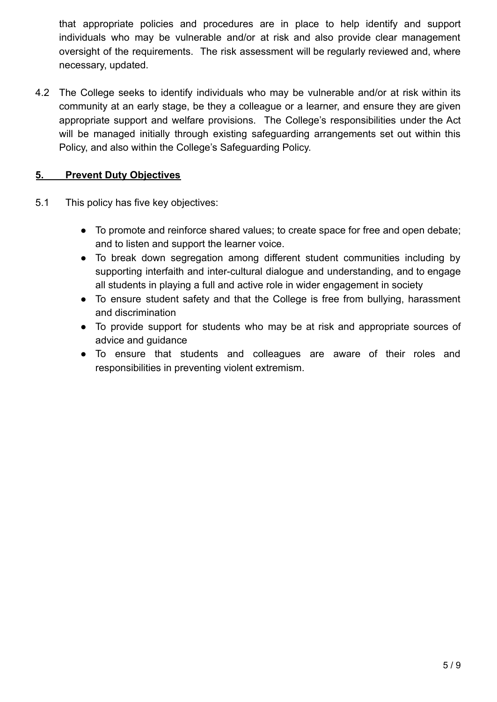that appropriate policies and procedures are in place to help identify and support individuals who may be vulnerable and/or at risk and also provide clear management oversight of the requirements. The risk assessment will be regularly reviewed and, where necessary, updated.

4.2 The College seeks to identify individuals who may be vulnerable and/or at risk within its community at an early stage, be they a colleague or a learner, and ensure they are given appropriate support and welfare provisions. The College's responsibilities under the Act will be managed initially through existing safeguarding arrangements set out within this Policy, and also within the College's Safeguarding Policy.

# **5. Prevent Duty Objectives**

- 5.1 This policy has five key objectives:
	- To promote and reinforce shared values; to create space for free and open debate; and to listen and support the learner voice.
	- To break down segregation among different student communities including by supporting interfaith and inter-cultural dialogue and understanding, and to engage all students in playing a full and active role in wider engagement in society
	- To ensure student safety and that the College is free from bullying, harassment and discrimination
	- To provide support for students who may be at risk and appropriate sources of advice and guidance
	- To ensure that students and colleagues are aware of their roles and responsibilities in preventing violent extremism.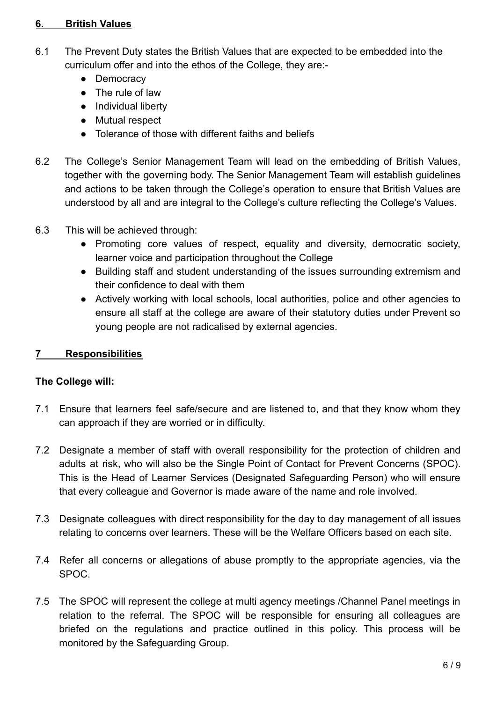#### **6. British Values**

- 6.1 The Prevent Duty states the British Values that are expected to be embedded into the curriculum offer and into the ethos of the College, they are:-
	- Democracy
	- The rule of law
	- Individual liberty
	- Mutual respect
	- Tolerance of those with different faiths and beliefs
- 6.2 The College's Senior Management Team will lead on the embedding of British Values, together with the governing body. The Senior Management Team will establish guidelines and actions to be taken through the College's operation to ensure that British Values are understood by all and are integral to the College's culture reflecting the College's Values.
- 6.3 This will be achieved through:
	- Promoting core values of respect, equality and diversity, democratic society, learner voice and participation throughout the College
	- Building staff and student understanding of the issues surrounding extremism and their confidence to deal with them
	- Actively working with local schools, local authorities, police and other agencies to ensure all staff at the college are aware of their statutory duties under Prevent so young people are not radicalised by external agencies.

#### **7 Responsibilities**

#### **The College will:**

- 7.1 Ensure that learners feel safe/secure and are listened to, and that they know whom they can approach if they are worried or in difficulty.
- 7.2 Designate a member of staff with overall responsibility for the protection of children and adults at risk, who will also be the Single Point of Contact for Prevent Concerns (SPOC). This is the Head of Learner Services (Designated Safeguarding Person) who will ensure that every colleague and Governor is made aware of the name and role involved.
- 7.3 Designate colleagues with direct responsibility for the day to day management of all issues relating to concerns over learners. These will be the Welfare Officers based on each site.
- 7.4 Refer all concerns or allegations of abuse promptly to the appropriate agencies, via the SPOC.
- 7.5 The SPOC will represent the college at multi agency meetings /Channel Panel meetings in relation to the referral. The SPOC will be responsible for ensuring all colleagues are briefed on the regulations and practice outlined in this policy. This process will be monitored by the Safeguarding Group.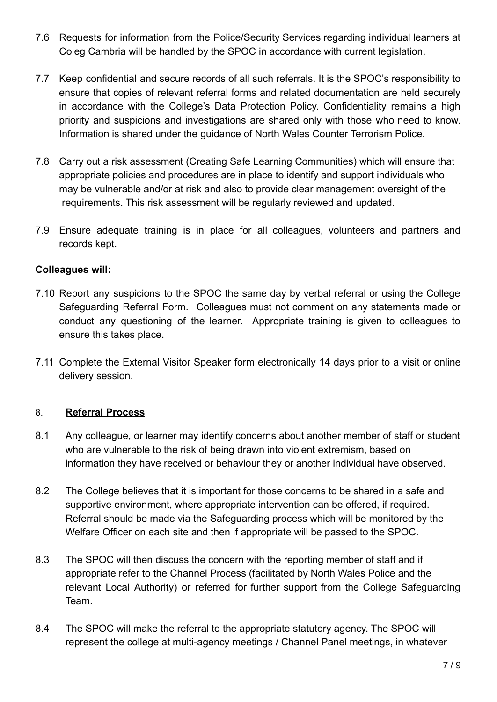- 7.6 Requests for information from the Police/Security Services regarding individual learners at Coleg Cambria will be handled by the SPOC in accordance with current legislation.
- 7.7 Keep confidential and secure records of all such referrals. It is the SPOC's responsibility to ensure that copies of relevant referral forms and related documentation are held securely in accordance with the College's Data Protection Policy. Confidentiality remains a high priority and suspicions and investigations are shared only with those who need to know. Information is shared under the guidance of North Wales Counter Terrorism Police.
- 7.8 Carry out a risk assessment (Creating Safe Learning Communities) which will ensure that appropriate policies and procedures are in place to identify and support individuals who may be vulnerable and/or at risk and also to provide clear management oversight of the requirements. This risk assessment will be regularly reviewed and updated.
- 7.9 Ensure adequate training is in place for all colleagues, volunteers and partners and records kept.

### **Colleagues will:**

- 7.10 Report any suspicions to the SPOC the same day by verbal referral or using the College Safeguarding Referral Form. Colleagues must not comment on any statements made or conduct any questioning of the learner. Appropriate training is given to colleagues to ensure this takes place.
- 7.11 Complete the External Visitor Speaker form electronically 14 days prior to a visit or online delivery session.

# 8. **Referral Process**

- 8.1 Any colleague, or learner may identify concerns about another member of staff or student who are vulnerable to the risk of being drawn into violent extremism, based on information they have received or behaviour they or another individual have observed.
- 8.2 The College believes that it is important for those concerns to be shared in a safe and supportive environment, where appropriate intervention can be offered, if required. Referral should be made via the Safeguarding process which will be monitored by the Welfare Officer on each site and then if appropriate will be passed to the SPOC.
- 8.3 The SPOC will then discuss the concern with the reporting member of staff and if appropriate refer to the Channel Process (facilitated by North Wales Police and the relevant Local Authority) or referred for further support from the College Safeguarding Team.
- 8.4 The SPOC will make the referral to the appropriate statutory agency. The SPOC will represent the college at multi-agency meetings / Channel Panel meetings, in whatever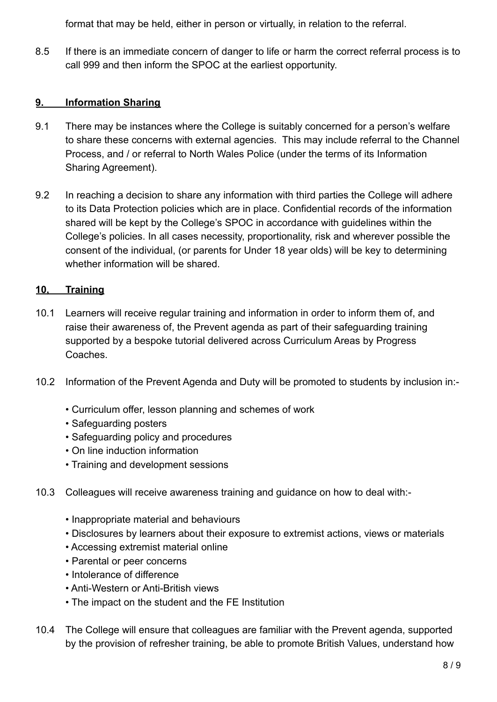format that may be held, either in person or virtually, in relation to the referral.

8.5 If there is an immediate concern of danger to life or harm the correct referral process is to call 999 and then inform the SPOC at the earliest opportunity.

# **9. Information Sharing**

- 9.1 There may be instances where the College is suitably concerned for a person's welfare to share these concerns with external agencies. This may include referral to the Channel Process, and / or referral to North Wales Police (under the terms of its Information Sharing Agreement).
- 9.2 In reaching a decision to share any information with third parties the College will adhere to its Data Protection policies which are in place. Confidential records of the information shared will be kept by the College's SPOC in accordance with guidelines within the College's policies. In all cases necessity, proportionality, risk and wherever possible the consent of the individual, (or parents for Under 18 year olds) will be key to determining whether information will be shared.

# **10, Training**

- 10.1 Learners will receive regular training and information in order to inform them of, and raise their awareness of, the Prevent agenda as part of their safeguarding training supported by a bespoke tutorial delivered across Curriculum Areas by Progress Coaches.
- 10.2 Information of the Prevent Agenda and Duty will be promoted to students by inclusion in:-
	- Curriculum offer, lesson planning and schemes of work
	- Safeguarding posters
	- Safeguarding policy and procedures
	- On line induction information
	- Training and development sessions
- 10.3 Colleagues will receive awareness training and guidance on how to deal with:-
	- Inappropriate material and behaviours
	- Disclosures by learners about their exposure to extremist actions, views or materials
	- Accessing extremist material online
	- Parental or peer concerns
	- Intolerance of difference
	- Anti-Western or Anti-British views
	- The impact on the student and the FE Institution
- 10.4 The College will ensure that colleagues are familiar with the Prevent agenda, supported by the provision of refresher training, be able to promote British Values, understand how